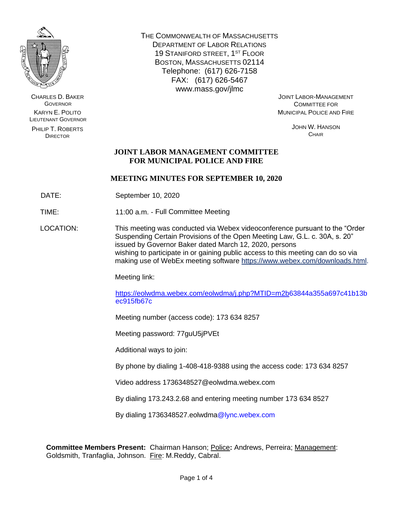

CHARLES D. BAKER **GOVERNOR** KARYN E. POLITO LIEUTENANT GOVERNOR

PHILIP T. ROBERTS DIRECTOR

THE COMMONWEALTH OF MASSACHUSETTS DEPARTMENT OF LABOR RELATIONS 19 STANIFORD STREET, 1ST FLOOR BOSTON, MASSACHUSETTS 02114 Telephone: (617) 626-7158 FAX: (617) 626-5467 www.mass.gov/jlmc

JOINT LABOR-MANAGEMENT COMMITTEE FOR MUNICIPAL POLICE AND FIRE

> JOHN W. HANSON **CHAIR**

### **JOINT LABOR MANAGEMENT COMMITTEE FOR MUNICIPAL POLICE AND FIRE**

### **MEETING MINUTES FOR SEPTEMBER 10, 2020**

DATE: September 10, 2020

TIME: 11:00 a.m. - Full Committee Meeting

LOCATION: This meeting was conducted via Webex videoconference pursuant to the "Order Suspending Certain Provisions of the Open Meeting Law, G.L. c. 30A, s. 20" issued by Governor Baker dated March 12, 2020, persons wishing to participate in or gaining public access to this meeting can do so via making use of WebEx meeting software [https://www.webex.com/downloads.html.](https://www.webex.com/downloads.html)

Meeting link:

[https://eolwdma.webex.com/eolwdma/j.php?MTID=m2b6](https://eolwdma.webex.com/eolwdma/j.php?MTID=m2b)3844a355a697c41b13b ec915fb67c

Meeting number (access code): 173 634 8257

Meeting password: 77guU5jPVEt

Additional ways to join:

By phone by dialing 1-408-418-9388 using the access code: 173 634 8257

Video address 1736348527@eolwdma.webex.com

By dialing 173.243.2.68 and entering meeting number 173 634 8527

By dialing 1736348527.eolwdma@lync.webex.com

**Committee Members Present:** Chairman Hanson; Police**:** Andrews, Perreira; Management: Goldsmith, Tranfaglia, Johnson. Fire: M.Reddy, Cabral.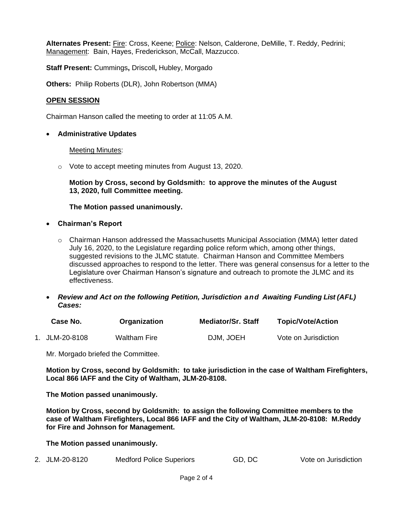**Alternates Present:** Fire: Cross, Keene; Police: Nelson, Calderone, DeMille, T. Reddy, Pedrini; Management: Bain, Hayes, Frederickson, McCall, Mazzucco.

**Staff Present:** Cummings**,** Driscoll**,** Hubley, Morgado

**Others:** Philip Roberts (DLR), John Robertson (MMA)

### **OPEN SESSION**

Chairman Hanson called the meeting to order at 11:05 A.M.

• **Administrative Updates**

#### Meeting Minutes:

o Vote to accept meeting minutes from August 13, 2020.

**Motion by Cross, second by Goldsmith: to approve the minutes of the August 13, 2020, full Committee meeting.**

**The Motion passed unanimously.**

- **Chairman's Report**
	- $\circ$  Chairman Hanson addressed the Massachusetts Municipal Association (MMA) letter dated July 16, 2020, to the Legislature regarding police reform which, among other things, suggested revisions to the JLMC statute. Chairman Hanson and Committee Members discussed approaches to respond to the letter. There was general consensus for a letter to the Legislature over Chairman Hanson's signature and outreach to promote the JLMC and its effectiveness.
- *Review and Act on the following Petition, Jurisdiction and Awaiting Funding List (AFL) Cases:*

| Case No.       | Organization | <b>Mediator/Sr. Staff</b> | <b>Topic/Vote/Action</b> |
|----------------|--------------|---------------------------|--------------------------|
| 1. JLM-20-8108 | Waltham Fire | DJM, JOEH                 | Vote on Jurisdiction     |

Mr. Morgado briefed the Committee.

**Motion by Cross, second by Goldsmith: to take jurisdiction in the case of Waltham Firefighters, Local 866 IAFF and the City of Waltham, JLM-20-8108.**

**The Motion passed unanimously.**

**Motion by Cross, second by Goldsmith: to assign the following Committee members to the case of Waltham Firefighters, Local 866 IAFF and the City of Waltham, JLM-20-8108: M.Reddy for Fire and Johnson for Management.**

**The Motion passed unanimously.**

2. JLM-20-8120 Medford Police Superiors GD, DC Vote on Jurisdiction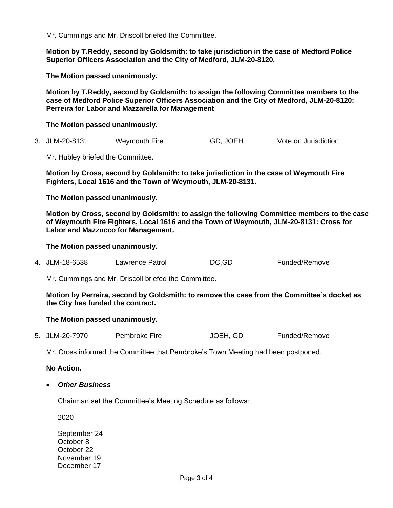Mr. Cummings and Mr. Driscoll briefed the Committee.

**Motion by T.Reddy, second by Goldsmith: to take jurisdiction in the case of Medford Police Superior Officers Association and the City of Medford, JLM-20-8120.**

**The Motion passed unanimously.**

**Motion by T.Reddy, second by Goldsmith: to assign the following Committee members to the case of Medford Police Superior Officers Association and the City of Medford, JLM-20-8120: Perreira for Labor and Mazzarella for Management**

**The Motion passed unanimously.**

3. JLM-20-8131 Weymouth Fire GD, JOEH Vote on Jurisdiction

Mr. Hubley briefed the Committee.

**Motion by Cross, second by Goldsmith: to take jurisdiction in the case of Weymouth Fire Fighters, Local 1616 and the Town of Weymouth, JLM-20-8131.**

**The Motion passed unanimously.**

**Motion by Cross, second by Goldsmith: to assign the following Committee members to the case of Weymouth Fire Fighters, Local 1616 and the Town of Weymouth, JLM-20-8131: Cross for Labor and Mazzucco for Management.**

**The Motion passed unanimously.**

4. JLM-18-6538 Lawrence Patrol DC,GD Funded/Remove

Mr. Cummings and Mr. Driscoll briefed the Committee.

**Motion by Perreira, second by Goldsmith: to remove the case from the Committee's docket as the City has funded the contract.** 

#### **The Motion passed unanimously.**

5. JLM-20-7970 Pembroke Fire JOEH, GD Funded/Remove

Mr. Cross informed the Committee that Pembroke's Town Meeting had been postponed.

**No Action.** 

• *Other Business*

Chairman set the Committee's Meeting Schedule as follows:

2020

September 24 October 8 October 22 November 19 December 17